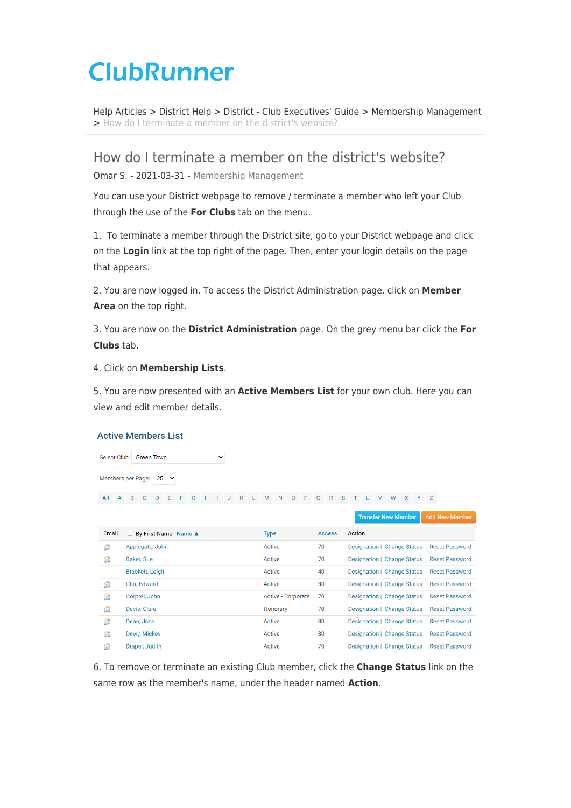# **ClubRunner**

[Help Articles](https://www.clubrunnersupport.com/kb) > [District Help](https://www.clubrunnersupport.com/kb/district-help) > [District - Club Executives' Guide](https://www.clubrunnersupport.com/kb/district-club-executives-guide) > [Membership Management](https://www.clubrunnersupport.com/kb/membership-management-2) > [How do I terminate a member on the district's website?](https://www.clubrunnersupport.com/kb/articles/how-do-i-terminate-a-member-on-the-district-s-website)

### How do I terminate a member on the district's website?

Omar S. - 2021-03-31 - [Membership Management](https://www.clubrunnersupport.com/kb/membership-management-2)

You can use your District webpage to remove / terminate a member who left your Club through the use of the **For Clubs** tab on the menu.

1. To terminate a member through the District site, go to your District webpage and click on the **Login** link at the top right of the page. Then, enter your login details on the page that appears.

2. You are now logged in. To access the District Administration page, click on **Member Area** on the top right.

3. You are now on the **District Administration** page. On the grey menu bar click the **For Clubs** tab.

4. Click on **Membership Lists**.

5. You are now presented with an **Active Members List** for your own club. Here you can view and edit member details.

#### **Active Members List**

Select Club: Green Town  $\ddot{\phantom{0}}$ Members per Page:  $25 \times$ 

All A B C D E F G H I J K L M N O P Q R S T U V W X Y Z

|       |                                            |                    |               | <b>Transfer New Member</b><br><b>Add New Member</b> |
|-------|--------------------------------------------|--------------------|---------------|-----------------------------------------------------|
| Email | $\Box$ By First Name Name $\blacktriangle$ | <b>Type</b>        | <b>Access</b> | Action                                              |
| €     | Applegate, John                            | Active             | 70            | Designation   Change Status   Reset Password        |
| â     | Baker, Sue                                 | Active             | 70            | Designation   Change Status   Reset Password        |
|       | Brackett, Leigh                            | Active             | 40            | Designation   Change Status   Reset Password        |
| €     | Chu. Edward                                | Active             | 30            | Designation   Change Status   Reset Password        |
| €     | Corprel, John                              | Active - Corporate | 70            | Designation   Change Status   Reset Password        |
| €     | Davis, Clare                               | Honorary           | 70            | Designation   Change Status   Reset Password        |
| €     | Dean, John                                 | Active             | 30            | Designation   Change Status   Reset Password        |
| €     | Dewy, Mickey                               | Active             | 30            | Designation   Change Status   Reset Password        |
| S     | Draper, Judith                             | Active             | 70            | Designation   Change Status   Reset Password        |

6. To remove or terminate an existing Club member, click the **Change Status** link on the same row as the member's name, under the header named **Action**.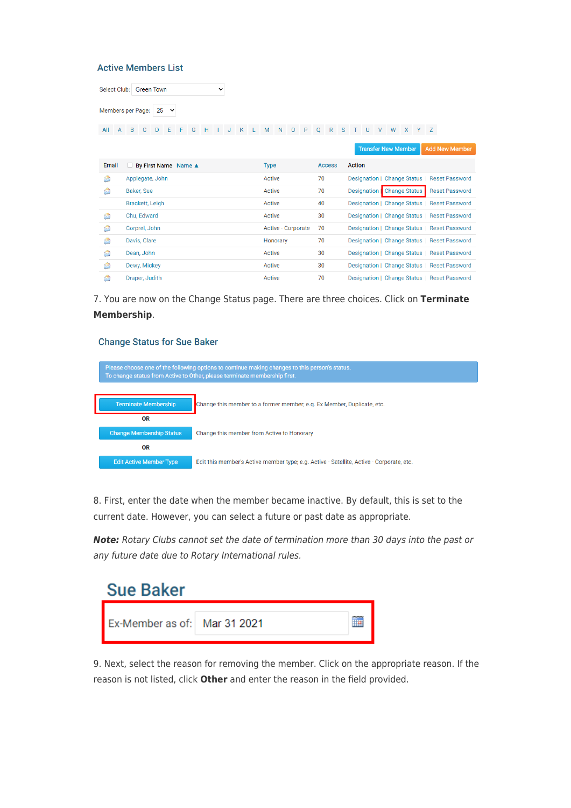**Active Members List** 

| Select Club:      |                     | <b>Green Town</b> |    |                        |   |   | $\check{ }$ |   |             |                    |   |    |               |   |               |  |                            |   |  |                                              |  |
|-------------------|---------------------|-------------------|----|------------------------|---|---|-------------|---|-------------|--------------------|---|----|---------------|---|---------------|--|----------------------------|---|--|----------------------------------------------|--|
| Members per Page: |                     |                   | 25 | $\check{ }$            |   |   |             |   |             |                    |   |    |               |   |               |  |                            |   |  |                                              |  |
| All               | B<br>$\overline{A}$ |                   | D  | E                      | G | H |             | K | M           | N                  | P |    | $\mathsf{R}$  | S |               |  | W                          | X |  |                                              |  |
|                   |                     |                   |    |                        |   |   |             |   |             |                    |   |    |               |   |               |  | <b>Transfer New Member</b> |   |  | <b>Add New Member</b>                        |  |
| <b>Email</b>      |                     |                   |    | □ By First Name Name ▲ |   |   |             |   | <b>Type</b> |                    |   |    | <b>Access</b> |   | <b>Action</b> |  |                            |   |  |                                              |  |
| Ġ.                |                     | Applegate, John   |    |                        |   |   |             |   | Active      |                    |   | 70 |               |   |               |  |                            |   |  | Designation   Change Status   Reset Password |  |
| A                 |                     | <b>Baker, Sue</b> |    |                        |   |   |             |   | Active      |                    |   | 70 |               |   | Designation   |  | <b>Change Status</b>       |   |  | <b>Reset Password</b>                        |  |
|                   |                     | Brackett, Leigh   |    |                        |   |   |             |   | Active      |                    |   | 40 |               |   |               |  |                            |   |  | Designation   Change Status   Reset Password |  |
| a                 |                     | Chu, Edward       |    |                        |   |   |             |   | Active      |                    |   | 30 |               |   |               |  |                            |   |  | Designation   Change Status   Reset Password |  |
| a                 |                     | Corprel, John     |    |                        |   |   |             |   |             | Active - Corporate |   | 70 |               |   |               |  |                            |   |  | Designation   Change Status   Reset Password |  |
| Ġ.                |                     | Davis, Clare      |    |                        |   |   |             |   |             | Honorary           |   | 70 |               |   |               |  |                            |   |  | Designation   Change Status   Reset Password |  |
| Ĝ.                |                     | Dean, John        |    |                        |   |   |             |   | Active      |                    |   | 30 |               |   |               |  |                            |   |  | Designation   Change Status   Reset Password |  |
| €                 |                     | Dewy, Mickey      |    |                        |   |   |             |   | Active      |                    |   | 30 |               |   |               |  |                            |   |  | Designation   Change Status   Reset Password |  |

Designation | Change Status | Reset Password

7. You are now on the Change Status page. There are three choices. Click on **Terminate Membership**.

Active

 $70$ 

#### **Change Status for Sue Baker**

Draper, Judith

**C** 

| Please choose one of the following options to continue making changes to this person's status.<br>To change status from Active to Other, please terminate membership first. |                                                                                          |  |  |  |  |  |
|-----------------------------------------------------------------------------------------------------------------------------------------------------------------------------|------------------------------------------------------------------------------------------|--|--|--|--|--|
|                                                                                                                                                                             |                                                                                          |  |  |  |  |  |
| <b>Terminate Membership</b>                                                                                                                                                 | Change this member to a former member; e.g. Ex Member, Duplicate, etc.                   |  |  |  |  |  |
| 0R                                                                                                                                                                          |                                                                                          |  |  |  |  |  |
| <b>Change Membership Status</b>                                                                                                                                             | Change this member from Active to Honorary                                               |  |  |  |  |  |
| 0R                                                                                                                                                                          |                                                                                          |  |  |  |  |  |
| <b>Edit Active Member Type</b>                                                                                                                                              | Edit this member's Active member type; e.g. Active - Satellite, Active - Corporate, etc. |  |  |  |  |  |

8. First, enter the date when the member became inactive. By default, this is set to the current date. However, you can select a future or past date as appropriate.

*Note:* Rotary Clubs cannot set the date of termination more than 30 days into the past or any future date due to Rotary International rules.

| <b>Sue Baker</b>             |  |  |  |  |  |  |  |
|------------------------------|--|--|--|--|--|--|--|
| Ex-Member as of: Mar 31 2021 |  |  |  |  |  |  |  |

9. Next, select the reason for removing the member. Click on the appropriate reason. If the reason is not listed, click **Other** and enter the reason in the field provided.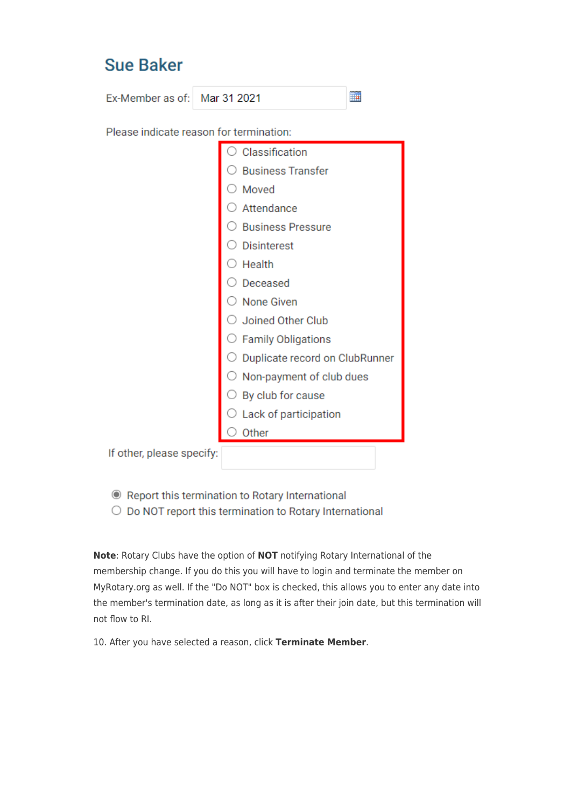## **Sue Baker**

Ex-Member as of: Mar 31 2021

Please indicate reason for termination:

|                           | Classification                 |
|---------------------------|--------------------------------|
|                           | <b>Business Transfer</b>       |
|                           | Moved                          |
|                           | Attendance                     |
|                           | <b>Business Pressure</b>       |
|                           | <b>Disinterest</b>             |
|                           | Health                         |
|                           | Deceased                       |
|                           | None Given                     |
|                           | Joined Other Club              |
|                           | <b>Family Obligations</b>      |
|                           | Duplicate record on ClubRunner |
|                           | Non-payment of club dues       |
|                           | By club for cause              |
|                           | Lack of participation          |
|                           | Other                          |
| If other, please specify: |                                |

Ħ

Report this termination to Rotary International

O Do NOT report this termination to Rotary International

Note: Rotary Clubs have the option of NOT notifying Rotary International of the membership change. If you do this you will have to login and terminate the member on MyRotary.org as well. If the "Do NOT" box is checked, this allows you to enter any date into the member's termination date, as long as it is after their join date, but this termination will not flow to RI.

10. After you have selected a reason, click Terminate Member.